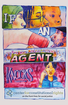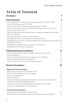### Table of Contents

#### **[Introduction](#page-3-0)**

|  | ۰. | ٦ |  |
|--|----|---|--|
|  |    |   |  |
|  |    |   |  |

| <b>Visits &amp; Searches</b>                                                           | 6  |
|----------------------------------------------------------------------------------------|----|
| If I Am Approached or Called by a Law Enforcement Agent, Do I Have to Talk?            | 6  |
| What Are The Consequences If I Do Talk?                                                | 8  |
| What If An Agent Asks to Search My Home, Apartment or Office?                          | Q  |
| What If I'm Not Around and an Agent Asks My Roommate to Search My Property?            | 10 |
| Can Agents Search My Trash?                                                            | 10 |
| What If an Agent Threatens to Get a Warrant or Grand Jury Subpoena Unless I Talk or    |    |
| Consent to a Search?                                                                   | 11 |
| What If an Agent Claims to Have a Search Warrant?                                      | 11 |
| What Rights Do I Have to Keep Agents From Searching My Car?                            | 11 |
| What Should I Do If My Office or Home Is Broken Into and I Suspect That the Motive Was |    |
| Intelligence Gathering?                                                                | 12 |
| What Should I Do If Agents Show Up With an Arrest Warrant?                             | 13 |
| What Should I Do If I Receive a Subpoena?                                              | 14 |
| <b>Infiltration &amp; Human Surveillance</b>                                           | 16 |
| Are There Limits on What Undercover Agents and Informants Can Do?                      | 18 |
| What is Entrapment?                                                                    | 18 |
| What are the Constitutional Limits to an Agent's Power to Infiltrate?                  | 19 |
| How Can I Determine Evidence of Infiltration?                                          | 20 |
| What Precautions Can I Take to Protect My Organization?                                | 20 |
| <b>Electronic Surveillance</b>                                                         | 22 |
| <b>Telephone Communications</b>                                                        |    |
| When Can the Government Tap My Phone Calls?                                            | 22 |
| How Will I Know If My Phone Is Being Tapped?                                           | 24 |
| What Is a Roving Wiretap?                                                              | 25 |
| What About Bugs?                                                                       | 25 |
| What About the Foreign Intelligence Surveillance Court and the National Security       |    |
| Agency's Warrantless Wiretapping Program?                                              | 26 |
| What Security Threats Do Cellular Phones, Smartphone and PDAs Pose?                    | 27 |
| Can the Government Monitor My Text Messages?                                           | 28 |
| <b>Internet Communications</b>                                                         |    |
| Can the Government Tell What Web Sites I Visit?                                        | 30 |
| Should I Be Wary of Electronic Surveillance From Non-Governmental Entities?            | 31 |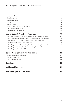#### **[Electronic Security](#page-31-0)**

| <b>Additional Resources</b><br><b>Acknowledgements &amp; Credits</b> |    |  |
|----------------------------------------------------------------------|----|--|
|                                                                      |    |  |
| <b>Right to Remain Silent</b>                                        | 44 |  |
| Searches and Seizures                                                | 44 |  |
| Speech and Political Affiliations                                    | 43 |  |
| <b>Special Considerations for Noncitizens</b>                        | 43 |  |
| What Happens After a Grand Jury?                                     | 42 |  |
| What Happens If I Comply With a Grand Jury Subpoena?                 | 41 |  |
| What Happens If I Refuse to Comply With a Grand Jury Subpoena?       | 41 |  |
| How Do I Quash a Grand Jury Subpoena?                                | 40 |  |
| What Options Do I Have If I Receive a Grand Jury Subpoena?           | 39 |  |
| What Should I Do If Someone Shows Up With a Grand Jury Subpoena?     | 38 |  |
| What are Grand Juries and What Threats Do They Pose to Activists?    | 37 |  |
| <b>Grand Juries &amp; Grand Jury Resistance</b>                      | 37 |  |
| Data Retention and Deletion                                          | 35 |  |
| Use Anti-Spyware Programs                                            | 35 |  |
| Know Your Internet Service Providers                                 | 35 |  |
| Web Browsing                                                         | 34 |  |
| Passwords                                                            | 34 |  |
| <b>Email Encryption</b>                                              | 33 |  |
| Data Encryption                                                      | 32 |  |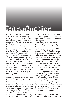## <span id="page-3-0"></span>Introduction

*Federal law enforcement agencies like the Federal Bureau of Investigation (FBI) have a dark history of targeting radical and progressive movements. Some of the dirty tricks they use against these movements include: infiltration of organizations to discredit and disrupt their operations; campaigns of misinformation and false stories in the media; forgery of correspondence; fabrication of evidence; and the use of grand jury subpoenas to intimidate activists. Today's activist must know and understand the threat posed by federal law enforcement agents and their tactics as well as several key security practices that offer the best protection.* 

*Federal agents have many tools at their disposal to target activists. While it is important to know and understand these tools and tactics, it is of critical importance that you resist any paranoia of government surveillance or fear of infiltration, which will only serve to paralyze you or your organization in your quest for social change. If fear of* 

*government repression prevents you from organizing, the agents of repression will have won without even trying.*

*The Center for Constitutional Rights (CCR) created If an Agent Knocks to provide advice to activists likely to be targeted by FBI agents or other federal investigators. Since its original release in 1989, If an Agent Knocks has been widely circulated in progressive activist communities across the country. This guide includes both the timeless advice included in the original version and extensive updates to reflect the current state of the law and law enforcement tools. This updated edition also includes a comprehensive discussion of today's technology, including cell phones, e-mail and Web browsing. This guide should be seen as a resource for the information needed to protect yourself and other activists from government investigation and to empower you to continue the struggle.*

*We have attempted to provide answers to a broad range of ques-*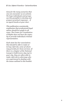*tions for the many scenarios that one can encounter as an activist. We hope individuals and groups use this pamphlet to develop and prepare practical responses – if an agent knocks at your door.*

*This publication consistently emphasizes that professional legal advice should be sought in all cases. The Center for Constitutional Rights does not have the capacity to provide individual criminal representation.*

*Each state has bar associations that should be able to make attorney referrals, some of whom may provide pro-bono services. If there is a chapter of the National Lawyers Guild (www.nlg.org) in your city, they are often able to make referrals to attorneys who are experienced in dealing with the issues outlined in this booklet.*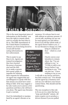<span id="page-5-0"></span>

This is the most important piece of information in this booklet: you have the right to remain silent, and it is usually the best idea to do so. The Fifth Amendment of the United States Constitution protects you from being forced to

reveal self-incriminating information to law enforcement.

This is easier to say than to do. Agents are trained investigators: they have learned the power of persuasion and the ability to make a person feel scared, guilty or impolite for refusing

their requests for information. An agent may suggest that any unwillingness to speak with her/ him means you must have something to hide. S/he may suggest s/ he only wants you to answer a few questions and then s/he will leave you alone. The agent may threaten to get a warrant.

Don't be intimidated or manipulated by an agent's threats or as-

If I Am **Approached** or Called by a Law **Enforcement** Agent, Do I Have to Talk?

surances. It is always best to not talk without an attorney present. If you do talk, anything you say can be used against you and others. Even if you tell the whole truth, if the agent doesn't believe you, s/ he can threaten to charge you with

> lying to a federal officer – which is a real crime.

Clearly convey your intention to remain silent. Say "I'm not talking to you," or "I'd like to talk to my lawyer before I say anything to you." You can also say, "I have nothing to say to you.

I will talk to my lawyer and have her/him contact you." You should ask the agent for a business card and say you will have your lawyer contact them. This should end the questioning.

The one exception to this rule is if you are in a state that has a "stop-and-identify" statute. All states require you to produce a drivers license if you are pulled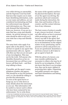over while driving an automobile, and the Supreme Court has held that laws that require you to state basic identifying information, such as your name and address, are not considered incriminating and that law enforcement may demand such information you. They may only demand that information from you, however, if you are in a state that has a stop-and-identify statute. An activist attorney in your state should be able to tell you if your state has a stop-and-identify statute.

The same basic rules apply if an agent calls on the phone. You do not have to speak to any agent who spontaneously calls you. Agents will often say that you are not part of any investigation. This may not be the truth. Tell anyone who identifies themselves as law enforcement that you will have your lawyer call them back – and then stop talking to them.

If possible, get the agent's name, telephone number and agency. This should be on her/his business card, or s/he should be willing to provide this information. As soon as the agent leaves or hangs up, try to write down as many details about the interaction as you can. This information will be useful to a lawyer and to others who have been contacted by law enforcement. Try to write down

the name of the agent(s) and her/ his physical description; the type of car the agent was driving; the questions asked and comments made during the interaction; the date, time and location of the encounter; and the contact information of any witnesses.

The best course of action is usually to get a lawyer involved. A lawyer can offer advice on how to proceed while protecting your rights. A lawyer can talk to the agent; find out what the investigation is about; try to set limitations on the subject matter of any questioning; and be present to advise and protect you if you are questioned. Sometimes a call from a lawyer is all it takes to get an agent to back off.

With the advice of a lawyer, you may consider publicizing the encounter to others who may be affected by an investigation. If activists know that there is an investigation, they can be more vigilant in protecting their rights. Organizing and public pressure can expose and limit intimidation and fishing expeditions.

<sup>1.</sup> At the time of publishing, the following states have some version of a stop-and-identify statute: Alabama, Arizona, Arkansas, Colorado, Delaware, Florida, Georgia, Illinois, Indiana, Kansas, Louisiana, Missouri, Montana, Nebraska, Nevada, New Hampshire, New Mexico, New York, North Dakota, Ohio, Rhode Island, Utah, Vermont and Wisconsin.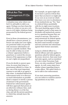#### <span id="page-7-0"></span>What Are The Consequences If I Do Talk?

A situation may arise where you feel it is advisable to talk to an agent. Perhaps you have been the victim of a crime or you are a witness to civil rights violations being prosecuted by the federal government.

Even in those circumstances, you should have a lawyer present. A lawyer can make sure your rights are protected while you provide only necessary information relevant to a specific incident. They may be able to help you avoid a witness' appearance before a grand jury or control the circumstances of the appearance so that no one's rights are jeopardized.

If you do decide to answer questions, be aware that lying to a government official is a crime. In fact, one of the most important reasons to not talk to an agent is this crime. A standard federal law enforcement tactic is to discover as much information as possible about a suspect or merely a person of interest to the government. Federal law enforcement agents will then approach that person at an otherwise ordinary time, such as during dinner or at the bus stop, and ask the person questions to which they already know the answers.

For example, an agent might ask if you know a person (whom they know that you know) or might ask if you were at an event (at which they know you were in attendance). If you instinctively say "No," that is a federal felony punishable with five to eight years in prison. The most daunting aspect of this investigative tactic is that many individuals will instinctively answer no to a question because they are scared or nervous. This tactic is used extensively by federal agents in all types of investigations and has been used recently to target and turn activists into informants against their former associates.

Lying to a federal officer is a federal offense and only applies to questions asked by federal agents. Be aware, however, that some local and state agents, such as members of a city's Joint Terrorism Task Force, are also considered "federal" agents. As well, some states have similar crimes regarding lying to a state officer. The safest choice is not to talk to law enforcement.

If you start answering questions, you can refuse to continue answering questions at any time.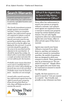### <span id="page-8-0"></span>**Search Warrants**

*A search warrant is a court order authorizing law enforcement to search a specifi ed location and seize evidence.*

*The Fourth Amendment protects people against unreasonable searches. Unless an exception applies, law enforcement agents are required to obtain a search warrant to conduct a search. Search warrants must be supported by probable cause, with facts sworn to by the officer applying for the warrant. A search warrant should be specific to the area to be searched and the object(s) to be searched for. It should be signed by a judge, be dated with a recent date (within a couple of weeks) and state the correct address for the location.*

*Probable cause means that facts must exist to establish that evidence of a crime will probably be found in the area to be searched. Probable cause must be based on facts – hunches are not enough.*

*Armed with a search warrant, law enforcement agents have the right to search your property. If you do not grant them access, they will likely use force to execute the search.*



### What If An Agent Asks to Search My Home, Apartment or Office?

Never allow law enforcement to search your person or property without a warrant. Law enforcement agents are required to have a warrant to search your property except for certain limited circumstances. You are only legally required to allow law enforcement agents into your home, office or other private space if they have a warrant.

Agents may search your house without a warrant if you allow them to, and they are trained to seek your consent to warrantless searches. Be careful of questions that are designed to elicit your consent to search. These questions may be as innocuous as "Do you mind if I come in?" Simply allowing an agent into your home may be construed as consent to search the whole place.

Legally, the best answer to a request to search is "I do not consent to a search." Say it loudly and proudly so any witnesses can hear.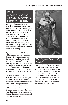### <span id="page-9-0"></span>What If I'm Not Around and an Agent Asks My Roommate to Search My Property?

A roommate can consent to a search of common, shared space and to her/his own space. A roommate cannot consent to search of another person's private space in a shared house or apartment. In other words, a roommate could consent to a search of your kitchen, living room or shared bathroom, but not your private bedroom, unless you share it with her/him or it is used as a common space in some way.

Spouses can consent to the search of their partner's private rooms because they are considered to have shared authority over all space in the house. Similarly, parents can consent to a search of their children's private space. In sum, if you share a bedroom with a roommate or partner, they can consent to a search of that space.

To protect against unwanted searches, make sure private space remains private. If you allow roommates to have mutual access and control over your private space, they can consent to a search of that space. Tell roommates, office mates and anyone with whom you share space to never consent to searches of any space, especially your private space.



### Can Agents Search My Trash?

Once you have placed your trash outside your house, agents can search it without a warrant or any other legal restraint. Courts have found that you have no privacy interest in your trash because you are surrendering it to the general public. Shred or otherwise destroy any and all sensitive documents before disposing of them.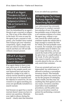### <span id="page-10-0"></span>What If an Agent Threatens to Get a Warrant or Grand Jury Subpoena Unless I Talk or Consent to a Search?

Don't be intimidated by an agent's threats to get a warrant or subpoena. This is one of the oldest tricks in the book. If it were so easy for the agent to get a warrant or subpoena, s/he wouldn't have wasted time trying to get your voluntary cooperation. Again, simply state that you will not consent to any search and that you will not talk without a lawyer present.

### What If an Agent Claims to Have a Search Warrant?

If an agent claims to have a warrant, ask to see it. It should look similar to the sample search warrant featured here and must be signed by a judge to be valid. A search warrant should be specific as to the area to be searched and the object(s) to search for. Do not consent to an agent searching any areas not specifically included in a search warrant.

Just because an agent has a search warrant doesn't mean you have to answer any questions. Maintain your right to silence during the search – clearly state that intention if you are asked any questions.

### What Rights Do I Have to Keep Agents From Searching My Car?

Law enforcement has extremely broad power to conduct warrantless searches of cars. If an agent has probable cause to believe that a car contains evidence of a crime, the agent may, without a warrant, search the vehicle and any container inside the vehicle that is large enough to contain the item for which s/he had probable cause to search. For example, if an agent has probable cause to believe you stole a large television, s/he can search the trunk of the car but not the glove box or a small toolbox in the trunk. If s/he only has probable cause to search a container recently placed in the car, s/he can only search that container.

If you are arrested and your car is impounded, law enforcement is allowed to perform a warrantless inventory search. This basically means the police may search your car for the purpose of cataloging what is inside, but they may use anything they find against you for any reason. Inventory searches must follow local established procedures, and the police may not use an inventory search as pretext for performing a warrantless search.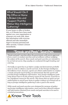### <span id="page-11-0"></span>What Should I Do If My Office or Home Is Broken Into and I Suspect That the Motive Was Intelligence Gathering?

If your home or office is broken into, or if threats have been made against you, your organization or someone you work with, share this information with everyone affected and take immediate steps to increase personal and office security. Contact a lawyer immediately.

### **eak and Peek" Searches**

*"Sneak and peek" searches allow the government, with secret approval from a court, to conduct searches and surveillance without notifying the subject of the search. Since sneak-and-peek searches are intended to be carried out secret, they usually are conducted through breaking and entering.*

*Normally an agent has to go before a judge and demonstrate probable cause in order to obtain a search warrant. In the Foreign Intelligence Surveillance Court, however, agents can obtain authorization to conduct a sneak-and-peek search if they can demonstrate that the search will provide foreign intelligence information. And, foreign intelligence gathering doesn't have to be the primary reason for the search; it just has to be a significant reason for the search. This means that an agent can get authorization to search your home to gather evidence of criminal acts so long as foreign intelligence gathering is also a goal in the search.*

*While sneak-and-peak searches were designed for purpose of gathering foreign intelligence information, most courts have allowed evidence and information obtained from sneak-and-peek searches to be used in criminal prosecutions.*

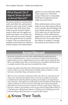### <span id="page-12-0"></span>What Should I Do If Agents Show Up With an Arrest Warrant?

An arrest warrant is a tool used by police and other law enforcement agents to enter your home to make an arrest. One of the many loopholes in search warrant requirements is that once the agents are inside your home, even if they are there with only an arrest warrant, they have great leeway to conduct a search. They can search the immediate area around you without a search warrant. Law enforcement

agents can even search the whole house as part of a "protective sweep" if they have a reasonable belief that a dangerous person might be present there.

If law enforcement arrives at your home (or any other space) with an arrest warrant, the best thing to do is go outside and give yourself up. If it is safe to do so, lock the door behind you. If law enforcement agents have an arrest warrant, they will arrest you. Do not give them the chance to conduct a warrantless search of your home as well.

### **Arrest Warrant**

*An arrest warrant is a court order authorizing law enforcement to arrest a specified person. Arrest warrants are signed and issued by a judge based on sworn applications from law enforcement attesting that there is probable cause that a crime has been committed and the person or people named in the warrant committed the crime.*

*In general, police and other law enforcement agents don't need a warrant to make an arrest. If they have probable cause to believe a crime has been committed, they can make an arrest.*

*There are two common exceptions to this rule. First, in most but not all states, law enforcement agents need a warrant to make an arrest for a misdemeanor that they did not witness personally. It is important to note, however, that agents can still make arrests for felonies they did not witness without an arrest warrant. Secondly, law enforcement generally needs an arrest warrant to make an arrest in your home. They can, however, make a warrantless arrest in your home if they believe there is a risk that you will destroy evidence or if they are in chasing you in hot pursuit and you duck into your or someone else's home.*

### **Know Their Tools**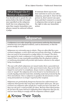#### <span id="page-13-0"></span>What Should I Do If I Receive a Subpoena?

You should seek to quash the subpoena before the date of compliance specified on the subpoena itself, but even subpoenas that state they require immediate compliance cannot be enforced without a judge.

If someone shows up at your door and tries to serve you with a subpoena, just take it. Don't let the person in, don't answer any questions and don't consent to a search. A subpoena does not give an agent the right to take any immediate action.

### **Subpoenas**

*A subpoena is an order issued by a government authority that demands someone turn over physical evidence, such as documents, or that the person testify in court.*

*Subpoenas are extremely easy to obtain. They are often fi led by a government employee, a court clerk and even private attorneys. A subpoena does not need to be presented to a judge before it is issued. The showing required to issue a subpoena is extremely low; a subpoena may be issued if there is any reasonable possibility that the physical evidence or testimony demanded will provide information relevant to the subject being investigated.*

*The ease with which subpoenas are issued makes them a powerful tool, but unlike search warrants or other government tools, they can be challenged in court prior to compliance. If you receive a subpoena, you can move to "quash" the subpoena if it is too broad or too burdensome or if it seeks legally protected materials, including materials protected by the First Amendment. Once a subpoena is quashed, the documents or testimony demanded are no longer required of the recipient.*

*Subpoenas are particularly dangerous because law enforcement can subpoena third parties that may have information about you. The government can subpoena other people for e-mails you have sent them. Or they can ask your e-mail provider for them. Because these third parties do not have the same interest in defeating these subpoenas that you do,*  and are more likely to comply with the subpoena without a fight.

### **Know Their Tools**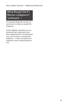### What Should I Do If I Receive a Subpoena? (continued ...)

You should obtain the services of an attorney to help you quash the subpoena.

In the unlikely event that you are informed that a third party has been subpoenaed for records about you, you can move to quash that subpoena – it does not matter if a subpoena wasn't issued directly to you.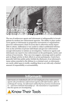<span id="page-15-0"></span>

The use of undercover agents and informants is indispensable in investigations by modern law enforcement agencies. The ability to place undercover agents or informants in progressive movements or organizations gives law enforcement a kind of access that is otherwise nearly impossible to obtain. Infiltration is very useful to collect confidential information on the activities of private individuals and give law enforcement enough information to initiate an investigation. Undercover agents and informants can report to law enforcement on the participants, tactics and actions of movements. They can even suggest, encourage and/or participate in illegal activity in their efforts to arrest participants. Courts have generally held that public policy forbids the disclosure of an informant's name unless essential to the defense in a criminal court, so informants are rarely called upon to testify, enabling them to act with only a limited amount of responsibility or accountability.

### **Informants**

*Informants are individuals who are not employed as law enforcement agents who provide law enforcement agents with information, often in exchange for money. An informant ordinarily has previous involvement in – and more intimate knowledge of – the movement or organization that the agents are investigating.*

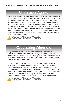### **Undercover Agents**

An undercover agent is a law enforcement officer who uses an assumed *name or fake identity to infiltrate a movement or organization to gather information or evidence. In political infiltration cases, an agent will typically pose as a sympathizer to a particular organization, gain the trust of its key members and then use this access to gather confidential information to pass on to the investigative agency. A secondary objective may be to lay the groundwork for a separate investigation. Undercover agents typically concoct a cover story as detailed as the assignment requires as well as a basic biography and plausible story covering past and present activities.*

### **Know Their Tools**

### **Cooperating Witnesses**

*Cooperating witnesses are similar to informants, except that cooperating witnesses usually agree to "fl ip" or "snitch" after being threatened with prosecution. Cooperating witnesses will testify in court in exchange for lesser charges being filed against them if there are any charges filed against them at all.* 

*Law enforcement recruits informants and cooperating witnesses from the ranks of people already active within the movements or organizations being targeted. The government often threatens these individuals with charges carrying massive jail time, offering to not file charges in exchange for a promise to inform on others in the movement. Undercover agents, on the other hand, use false pretenses from the beginning of their association with any movement or organization.*

### **Know Their Tools**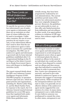### <span id="page-17-0"></span>Are There Limits on What Undercover Agents and Informants Can Do?

No specific law governs or limits law enforcement's use of undercover agents or informants, and there are no restraints on what types of crimes infiltration can be used to investigate. Unlike other countries, the use of covert practices do not require a warrant, so law enforcement officers don't need to show that the use of an undercover agent or informant is necessary for a particular investigation. The FBI's use of undercover agents and informants is governed only by loose internal guidelines established after U.S. Congressional findings in the *Final Report of the Select Committee to Study Government Operations with Respect to Intelligence Activities (1976)*.

The report exposed details about the FBI's now-infamous Counter Intelligence Program (COIN-TELPRO) program, in operation between 1956 and 1971, which targeted activists and organizations, including Dr. Martin Luther King, Jr. and the Black Panther Party. In response to the report, the U.S. Attorney General enacted internal guidelines for covert FBI operations that regulated both undercover agents and informants. While these guidelines were

initially strong, they have been progressively weakened by several administrations. The current guidelines permit many of the invasive law enforcement practices they were originally designed to prevent. Moreover, the guidelines are not enforceable in court, so they offer only limited protection from infiltration and surveillance. In other words, if an agent gathers evidence in violations of FBI regulations, that evidence might still be used in court.

### What is Entrapment?

The strongest restraint on undercover agents and informants is the requirement to avoid entrapment. Entrapment occurs when an agent or informant plants the idea to commit an offense in the mind of an individual who would not otherwise have been disposed to commit such an offense and then encourages that individual to commit the offense in order to prosecute her/ him. Courts view entrapment very narrowly, and tend to give wide latitude to undercover agents or informants who suggest or encourage illegal activity. While exceptions to the entrapment defense vary from state to state, it is generally not an effective defense if the undercover agent merely suggested the commission of a crime. In many states, entrapment is not a viable defense if a jury believes someone was predisposed to commit the crime. In other states, entrapment is not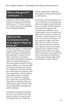### <span id="page-18-0"></span>What is Entrapment? (continued ...)

a defense at all when the crime involves "causing or threatening bodily harm." For these reasons, one cannot rely on the availability of an entrapment defense.

#### What are the Constitutional Limits to an Agent's Power to Infiltrate?

Undercover agents or informants are generally allowed to attend public meetings, including those that take place in houses of worship. Courts have sometimes found First Amendment violations when it is determined that enforcement agents interfered with a group's ability to exercise the right to freedom of speech and association. Similarly, courts have found law enforcement in violation of the First Amendment when it gathers and publicly releases information on an activist or organization. Courts have not found First Amendment violations when law enforcement agents merely create an uncomfortable atmosphere at public meetings.

Courts have routinely found that the covert recording of conversations by undercover agents and informants does not violate the

Fourth Amendment, which protects against unreasonable searches and seizures.

Courts have also found that the covert recording of conversations by undercover agents and informants does not violate the Fifth Amendment protection against selfincrimination. Similarly, if you unknowingly invite an undercover agent into your home or other private space, courts consider it "consent" to a search by that agent. If the undercover agent sees probable cause of a crime, s/he can then summon other law enforcement agents to join in the search based on the so-called consent granted to the undercover agent. Some courts have even applied the same reasoning for situations in which targets unknowingly invite an informant to enter a home.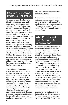### <span id="page-19-0"></span>How Can I Determine Evidence of Infiltration?

There are some helpful clues to identify an infiltrator. An undercover agent or informant may volunteer for tasks that provide access to your group's important meetings and papers, such as financial records, membership lists, minutes and confidential files. Undercover agents and informants often encourage or urge the use of violence or illegal tactics and accuse others who resist those tactics as being cowards. Similarly, undercover agents or informants often accuse others of being agents or informants, thereby diverting attention from themselves and distracting the group from its work. An undercover agent or informant may also have no obvious source of income over a period of time or have more money available than her/his job should pay.

Try to obtain information on a suspected agent or informant's background. Check with organizations in areas the suspected agent lived in the past to see if anyone can vouch for her/him. See what you can turn up on the Internet. Public records such as credit reports, voter registration and mortgages contain a wealth of information, including past and present addresses. If they are available, you might want to check listings of local police academy graduates; but, remember that the suspected person may not be using her/his real name.

A person who fits these characterizations is not necessarily an undercover agent or informant. Use caution and do not accuse someone of being an agent or informant unless you have substantial evidence against them.

#### What Precautions Can I Take to Protect My Organization?

Maintain a file of all suspected or confirmed experiences of surveillance and disruption. Include the date; place; time; those present; a complete description of everything that happened; and any comments explaining the context of the experience and an description of the impact the event had on the individual or organization. Hold a meeting to discuss spying and harassment, and determine if any of your members have experienced any harassment or noticed any surveillance activities that appear to be directed at the organization's activities. Review past suspicious activities or difficulties in your group, and try to determine if one or several people have been involved in many of these events.

You may try to file Freedom of Information Act (FOIA) requests for your organization from agencies such as the FBI, Department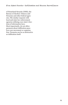of Homeland Security (DHS), the Bureau of Alcohol, Tobacco and Firearms and other federal agencies. File similar requests with local and state law enforcement agencies utilizing your state's freedom of information laws. Most importantly, do not allow paranoia about infiltration paralyze your movement or organization. Paranoia can be as destructive as infiltration itself.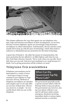<span id="page-21-0"></span>

This chapter addresses the ways that agents can use telephone wiretaps, bugs and Internet surveillance in their investigations. As our lives become evermore digitized, agents are increasingly using electronic surveillance to collect information. Unfortunately, the law and the courts usually fail to keep up with the pace of technology, which often leads to unknown or diminished privacy protection for the latest technology.

A good rule of thumb is: the older the means of communication, the more protection the law affords it. As Elliot Spitzer said when he was New York State Attorney General, "Never write when you can talk. Never talk when you can nod. And never put anything in an e-mail because it's death. You're giving prosecutors all the evidence we need."

### Telephone Communications

Telephone conversations can be intercepted in a variety of ways – from taps to bugs to roving wiretaps to pen registers to trapand-trace devices. Methods of telephone surveillance are detailed and complex and we can only offer an overview of them here. The lesson, however, is simple – be very careful about what you say on the telephone.

### When Can the Government Tap My Phone Calls?

The government generally needs a special warrant called a Title III Wiretap Order to tap your phone. The government can, however, also tap your phone without a warrant for 48 hours under certain emergency situations involving immediate death or serious injury, national security or activities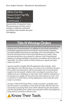### When Can the Government Tap My Phone Calls? (continued...)

characteristic of organized crime. The government can later seek a warrant to authorize continued surveillance that includes the prior wiretapping.

### **Title III Wiretap Orders**

*Title III Wiretap Orders are the warrants that are used to intercept and monitor your communications. In addition to the Fourth Amendment protections requiring search warrants for most searches, Congress provided additional protections regarding oral communication in Title III of the Omnibus Crime Control and Safe Streets Act (1968). These increased protections were passed in response to the Congressional fi ndings of widespread illegal and abusive surveillance by the FBI in the 1960s (See "Are There Limits on What Undercover Agents and Informants Can Do?").*

Agents must file a lengthy Title III application that includes: facts *regarding the crime that has been or is about to be committed; the place from which communications will be intercepted; the communications sought to be intercepted; whether other investigative tools have been utilized and were inadequate or that other tools would be inadequate or too dangerous to apply; the time frame for interceptions to occur; and a statement on all previous wiretap applications concerning the same target or premises.*

*To issue a Title III Wiretap Order, a judge must find: probable cause that the target is committing a crime covered under Title III; that communication concerning that crime will be obtained by the interception; and that the facilities from which communication will be intercepted are being used in connection with the crime.*

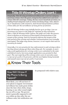### <span id="page-23-0"></span>**Title III Wiretap Orders (cont.)**

*Originally, Title III only permitted surveillance for a narrow category of serious crimes. Over the years, Congress has added more and more crimes Title III's coverage. Today, the law covers hundreds of crimes, including broad categories such as crimes involving drugs, riots, obscenity or interference with commerce. Such broad interpretations of these crimes allow for the surveillance of many forms of activism.*

*Title III Wiretap Orders may initially last for up to 30 days. Law enforcement can return to the judge for repeated 30 day extensions. After a Title III Wiretap Order expires, the judge can order the government to disclose an inventory of intercepted communications to the targets of the wiretap. Such an inventory informs the targets of the time period of the wiretap and whether communications were actually intercepted. The judge may choose, however, to not require that such an inventory be issued.*

*Generally, it is rare practice for law enforcement to seek wiretap orders; but they almost always get them when they ask. For example, in 2007, only 2,208 applications for wiretap orders were submitted to the state and federal courts, but every single application was granted in that year. The vast majority of the wiretap orders were in narcotics cases (1,792 out of 2,208 or 81 percent), with the next highest being homicide and assault cases (132 out of 2,208 or 6 percent).*

### **Know Their Tools**

#### How Will I Know If My Phone Is Being Tapped?

Most likely, you will not know if your phone is tapped. Government surveillance has made great strides since the time when clicks, beeps, buzzing or any other sound might tip you off to a tap. The government is generally supposed to tell you within 90 days after the surveillance ends, but notification can

be postponed with relative ease.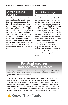### <span id="page-24-0"></span>What Is a Roving Wiretap?

Typically, a wiretap is applied to a specific phone at a specific location after it has been authorized through a court order. A roving wiretap, however, is a tap on any phone at any location from which the law enforcement agent believes the target will be making phone calls. Roving wiretaps have been allowed for government use since 1998. The government needs to meet the same standard for a roving wiretap as they do for a regular tap – probable cause that a crime has been or is about to be committed.

#### What About Bugs?

A bug is a miniature electronic device that can overhear, broadcast and/or record a conversation. By placing a bug in your home or office, law enforcement can listen in on everything that is said within the device's range. The requirements governing the use of bugs are generally the same as those for wiretaps. The use of bugs presents some inherent difficulties for law enforcement agents: they must be installed within the target location; they are prone to malfunction; there is a risk of discovery; and they may be rendered useless by electrical interference. Because of these difficulties, bugs are likely used to a lesser degree than wiretaps.

## **Pen Registers and "Trap and Trace" Devices**

*A pen register device records the numbers dialed from a telephone line to which the device is attached. "Trap and trace" devices record the telephone numbers of incoming calls.*

*A court order is required if law enforcement wants to install and use either device; however, these court orders are very easy to obtain. The government needs only to believe that the information likely to be obtained is relevant to an ongoing criminal investigation. Judges and law enforcement typically take a very broad view of what is likely to be relevant to an investigation. Many states allow such surveillance under even more lax standards. Also, the U.S. Attorney General can in certain* 

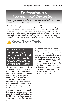### <span id="page-25-0"></span>**Pen Registers and "Trap and Trace" Devices (cont.)**

*"emergency" situations authorize the use of these devices for up to seven days without seeking an order from the judge.*

*The Patriot Act expanded the permitted use of both of pen registers and trap-and-trace devices. Some expanded uses of pen registers and trapand-trace devices include: tracking the physical location of cell phone users; recording the addresses of Web sites you visit; the Internet Protocol (IP) addresses that your computer connects to; or the IP addresses of computers that connect to your computer. An IP address is a unique number assigned to each computer or device that connects to a network.* 

### **A. Know Their Tools**

What About the Foreign Intelligence Surveillance Court and the National Security Agency's Warrantless Wiretapping Program?

The government can wiretap both citizens and noncitizens if there is probable cause to believe that the target is a member of a foreign terrorist group or an agent of a foreign power. In order to wiretap citizens and lawful permanent residents, the government must also demonstrate probable cause that the target is engaged in activities that "may" involve a criminal violation. For this type of surveillance, the government must obtain a search warrant from the Foreign Intelligence Surveillance Court, a secret court in which hearings and

records are closed to the public. The government, via the National Security Agency (NSA), claims the authority to warrantlessly monitor any telephone or electronic communication if it believes one party is located outside of the U.S. – even if the other party is inside the U.S. While the NSA is only authorized to monitor communications for purposes of obtaining foreign intelligence, the full scope of the program is unknown.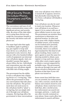### <span id="page-26-0"></span>What Security Threats Do Cellular Phones, Smartphone and PDAs Pose?

The convenience and ease of cell phone communication comes with significant privacy and security risks. Be aware of the risks inherent in using these devices and weigh the convenience benefit to the security risk before each cell phone use.

The same legal rules that apply to landlines apply to getting a tap, pen register or trap-andtrace device on a cell phone. It is important to note, however, that anyone with a few hundred dollars worth of equipment can intercept your cell phone signals. And, you shouldn't assume that agents always follow the law. Individuals and corporations may also easily intercept your cell phone signals with little risk of being caught.

The government has the ability to turn a cell phone into a listening device or a "roving bug." This allows the government to hear any conversations that take place near the cell phone. The government does not need access to the cell phone itself to "plant" a roving bug, but can simply initiate it through your cell phone company. Roving bugs allow the government to hear conversations near your cell phone even when it is turned off. It appears, however, that physically removing the battery from a cell phone will disable a roving bug.

Your cell phone can also be used to track your location. Whenever your cell phone is on and has a signal, it is in contact with one of more cellular towers in your area. The government can monitor these connections to determine your physical location. In cities and other areas with a higher density of cellular towers, your location can be tracked more precisely, sometimes within a few yards. Currently, there is no uniform legal standard for this kind of cell phone tracking. Some courts require agents to meet the same low showing needed to obtain a pen register or trap-and-trace device while other courts require agents to obtain a warrant supported by probable cause. The government can also go through your past cell phone records to determine your location at that time if your cell phone was turned on.

Some courts have held that once you are arrested, law enforcement can, with a warrant, search the call history and contacts stored in your cell phone. Some courts have even held that, after a lawful arrest, law enforcement can search text messages, pictures, e-mails and any other records contained on your phone. Some courts allow law enforcement to search call histo-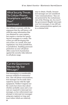### <span id="page-27-0"></span>What Security Threats Do Cellular Phones, Smartphone and PDAs Pose? (continued ...)

ries without a warrant, with the argument that the call history will yield the same information that can obtained by a pen register, but require a warrant for searching text messages or e-mails. The courts are still developing this area of law; as a result, laws and regulations vary from jurisdiction to jurisdiction. Enabling password protection on your cell phone offers some level of protection against the security risks inherent in cell phone usage.

### Can the Government Monitor My Text Messages?

Text messaging is a considerably insecure method of communication. Like cell phone conversations, text messages can be easily intercepted by anyone with the right equipment. Neither Congress nor the courts have been clear about whether probable cause and a warrant are required to intercept text messages, so law enforcement may attempt to intercept text messages using pen registers or trap-andtrace orders which are relatively

easy to obtain. Finally, because text messages are not considered "wire communications," they are not protected by the exclusionary rule of the Wiretap Act. So even if the government illegally intercepts your text messages, it can still use these communications against you in a criminal trial.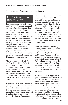### <span id="page-28-0"></span>Internet Communications

### Can the Government Read My E-mail?

Law enforcement can easily access much of your electronic communications and the information they contain. To obtain a subpoena to access your electronic communications, the government needs only to demonstrate that the information likely to be obtained is relevant to an ongoing criminal investigation. With the subpoena, the government can obtain your "basic subscriber information," which includes the name and physical address associated with an account; the length and types of service used; session logs; and the IP address of your computer.

The government needs a D Order (see "Know Their Tools: D Orders") to obtain other "noncontent records," which include any records or logs that reflect the e-mail addresses you send e-mail to or receive e-mail from; times and dates on which e-mails were sent or received; and the size of each e-mail.

Regarding e-mail stored by a third party, such as a Web e-mail service or an Internet Service Provider (ISP), different protections apply depending on how recent an e-mail is and whether or not you have read it. The Stored Communications Act requires law enforcement to obtain a search warrant for the content (subject line and body) of unopened emails that have been in storage for less than 180 days. For unopened e-mails older than 180 days and for opened e-mails in storage by the third party, the government can obtain a D Order or issue a subpoena for the content of the emails. The government can also choose to get a search warrant for emails older than 180 days or opened emails.

In Alaska, Arizona, California, Hawaii, Idaho, Montana, Nevada, Oregon and Washington, which are states covered by the Ninth Circuit Court of Appeals, courts have disagreed with the government's interpretation that it can, with a D Order, obtain opened e-mails that has been in storage for less than 180 days. These courts have ruled that the government needs a warrant for any e-mail that is less than 180 days old.

The government is supposed to give the individual subscriber prior notice before using D Orders or subpoenas to obtain the content of email. In theory this would allow the subscriber to move to quash the subpoena before the thirdparty complies with it. Another provision of the Stored Communications Act, however, allows law enforcement to delay notice of a D order or subpoena for a substan-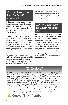#### <span id="page-29-0"></span>Can the Government Read My Email? (continued ...)

tial period of time, and it appears the government regularly delays notice. Law enforcement can also avoid giving you any notice by taking the extra steps required for a search warrant.

Larger ISPs reportedly receive more than 1,000 subpoenas each month seeking information about their users. Most of the subpoenas request users' names, addresses, ISP addresses and records of when the target signed on and off of the Internet.

There are many reports of law enforcement programs designed to capture vast amounts of Internet traffic, including e-mails and Web activity. The extent of these programs, their permitted use and the admissibility of any information obtained through them in court is currently unknown.

#### Can the Government Tell What Web Sites I Visit?

Law enforcement needs a warrant for records of the actual Web sites you visit. The government can reportedly obtain the Uniform Resource Locator (URL) addresses, e.g. http://ccrjustice.org, of Web sites you viewed without a warrant; but, the government needs a warrant to obtain information on specific pages you visit on Web site, e.g., http://ccrjustice.org/ifanagentknocks.

### **"D Orders"**

*Another law enforcement tool is the 2307(D) Order, commonly referred to as a "D Order." The D Order gets its name from the subsection of the Stored Communications Act that authorizes them. The government uses D Orders to obtain electronic records stored by third parties – most often, email. D Orders are harder to get than a simple subpoena but easier to obtain than a search warrant. To obtain a D Order, the govern*ment must provide specific facts to a *judge showing there are reasonable grounds to believe the information sought is relevant to an ongoing criminal investigation. So the suspicion required for the D Order is lower than probable cause, but it is higher than the standard of "any reasonable possibility" required in order to obtain a subpoena.*

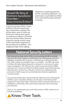### <span id="page-30-0"></span>Should I Be Wary of Electronic Surveillance From Non-Governmental Entities?

Corporate spying is likely a larger industry than government spying. Corporations routinely hire private spies, most of whom are former law enforcement agents, to conduct surveillance of activists who may threaten their interests. Corporate spying involves many of the same tactics employed by the government, including: rummaging through trash; tapping

telephones; monitoring Internet activity; and using infiltrators. Corporate spies are probably less likely to be concerned by legal restraints on spying.

### **National Security Letters**

*The National Security Letter (NSL) is tool used by the FBI to secretly demand information about an individual from a third party, such as a*  telephone company, *ISP*, consumer credit agency or financial institu*tion. NSLs require no probable cause or oversight – the FBI only needs to believe the information they seek is relevant to a terrorism or espionage investigation. The NSL law has a built-in gag rule that prohibits someone who receives an NSL from telling anyone except their attorney that they have received one. Though a recent court ruling found the permanent, built-in gag rule unconstitutional, its future application remains unclear.*

*Government studies have reported that the FBI issues tens of thousands of NSLs a year, and often violates even the minor restraints on their authority to issue these letters. Data from NSLs is shared within the U.S. intelligence community, other government agencies and even foreign governments.*

*If you or an organization you work with receives a NSL, contact an attorney immediately.*

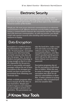### **Electronic Security**

<span id="page-31-0"></span>*Electronic security is an immense and complex topic. This section introduces some basic advice regarding electronic security. You will fi nd more in-depth information on each of these topics in the Additional Resources section of this booklet.*

*Simply put, the most secure electronic communication is no electronic communication at all. Effective electronic security habits require maintaining a constant balance between the convenience and the risks associated with electronic communication. As with any practice, you should weigh risks against rewards when deciding what electronic security measures to employ.*

### Data Encryption

Encryption is a method of turning information into a ciphered code. If used properly, encryption protects your data from being viewed by anyone who does not have the proper "key" to view it. Modern encryption technology is strong enough so that it is virtually impossible for the government to unscramble encrypted messages without the use of keys. Encryption is the strongest protection you have to prevent the government from obtaining your electronic data.

Widely available programs allow you to encrypt all of the data on your hard drive. Simple passwords to login to your computer are not enough to protect your hard drive. The government can

take the hard drive, make a copy of it and easily access the data without your log-in. With an encrypted hard drive, your files will be encoded and the government will not be able to access them without your encryption password.

Encryption programs also allow for encryption of individual files or folders. While this may be easier to manage, piecemeal encryption may allow for additional vulnerabilities to those files. A better solution is to keep a separate, fully encrypted hard drive for sensitive files.

### **Know Your Tools**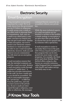### <span id="page-32-0"></span>Email Encryption

Using encryption is even more important for e-mail. We've already shown how the government can use D Orders or subpoenas to easily access your e-mails or use other tools to intercept them in transmission. And, once an e-mail is on a third party's computer, you have no control over who can get it and read it. Similar to data encryption, one tool to protect your electronic communications is e-mail encryption. In order to use e-mail encryption effectively, however, both you and whoever you are communicating with must use an encryption program.

E-mail encryption ensures that only the intended recipients can read the e-mail you send. Modern e-mail encryption works through a system of "public keys." A public key provides instructions, or the code, for how e-mails sent to you should be scrambled. The code to unscramble messages – the "private key" – is different from the public key, and only you have access to the private key. If your e-mails are intercepted through a subpoena, court order or otherwise, the messages

contained therein cannot be unscrambled without your private key.

While the more technical aspects of e-mail encryption are too detailed to include in this booklet, a simple analogy to encryption is an open door that can be locked by anyone but can be opened only by someone with a special key.

E-mail encryption is easier to use today than it was in the past. GNU Privacy Guard (GnuPG) is a free program that can be integrated into most major e-mail programs. For example, the third party mail client Mozilla Thunderbird offers a plug-in, also known as a security extension, called Enigmail that is compatible with GnuPG and makes encryption fairly easy to use.

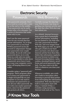### <span id="page-33-0"></span>Passwords

Take passwords seriously. Don't use a word or a word with a number at the end or in the middle. Those passwords can be easily broken after a few attempts. Use a series of characters that make sense only to you.

Don't use the same password twice for any account that has private information. Try to keep your passwords in your head. Written password can be discovered or subpoenaed. Change your passwords every couple of months. If you do write your passwords down, try to write them in a code only you understand. If you decide to write down a password, never leave it next to or near your computer; you're better off keeping them in your wallet.

Consider using a "password safe" program. These programs allow you to keep your passwords in a single encrypted file on your computer so you only need to memorize one password to access all your other passwords. Do not write your master password down, since it is the password that protects all others.

### Web Browsing

Carefully manage the data that your Web browser may keep regarding your Internet activity and the data that other Web sites may have about you.

As a default, Internet browsers keep a great deal of potentially private information, including but not limited to: the Web sites you visit; passwords for those Web site; and even images from the Web pages you visit. An agent who gets a hold of your hard drive can learn a lot about your Internet activity from these files. Delete this information regularly. Set your browser to delete your Internet browsing history, cache, cookies, download history, saved forms and saved passwords regularly. You may want to do this daily or whenever you close your browser.

Whenever available, use a website's built-in encryption when browsing to prevent third parties from intercepting the information transmitted. Web sites that have built-in encryption start with https:// instead of http://. Consider using anonymous Internet tools such as Tor. Tor is

### **Know Your Tools**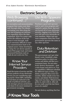### <span id="page-34-0"></span>Web Browsing (continued ...)

an encryption and anonymization program that routes your data only through other Tor clients, encrypting your data along the way and stripping out information regarding where the data originated. Each Tor router only knows the address of the last router it went through, making it extremely difficult to trace any communication back to its original source. Some drawbacks to using Tor are slower speeds at which Web pages load, and many unsecured functions such as Flash do not work over Tor.

### Know Your Internet Service Providers

Read the terms of service and the privacy policies of any electronic service you are considering signing up for. Some ISPs, including several that are tailored to the needs of political activists, provide stronger privacy protections and claim to be more resistant to government snooping.

## Use Anti-Spyware<br><u>\_\_\_\_Progra</u>ms

Purchase a good anti-spyware and/or anti-virus program and regularly update them. Spyware can breach all of your electronic security, logging every Web site you visit and every keystroke on your machine. Major anti-spyware companies claim they treat government spyware the same as any other spyware.

### Data Retention and Deletion

The government can't get what doesn't exist. Establish a data retention policy in which you review and delete old files on a consistent basis. Do not selectively destroy documents – pick a time frame and stick to it. You can establish a different schedule for different types of data, e.g., delete computer files every two months; delete emails every two weeks; and delete Web browser logs every two days. Whatever the policy is, stick with it. After all, do you really need the last three years of e-mails?

Do not destroy anything that has

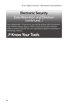### Data Retention and Deletion (continued...)

been subpoenaed – if you do so, you run the serious risk of an obstruction of justice charge. Keep a written record of your data retention policy to protect yourself and your organization against accusations of destroying evidence.

### **Know Your Tools**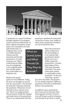<span id="page-36-0"></span>

A grand jury is a panel of citizens brought together to investigate crimes and issue indictments. In their original conception, grand juries were intended to be radi-

cally democratic. In England, they served as a buffer between citizens and the monarch and her/his prosecutors. In early America, any citizen could bring an allegation of wrongdoing to the original grand jury and the grand jury could indict on a majority vote.

#### Modern day grand

juries are very different. Today, all cases are brought to a grand jury by a prosecutor. The prosecutor picks the witnesses and asks the questions. Witnesses are not allowed to have a lawyer present. There is no judge present. The prosecutor drafts the charges and reads them to the grand jury. There is no requirement that the

What are Grand Juries and What Threats Do They Pose to Activists?

grand jury members be instructed on the law at issue. And, unlike in other juries, grand jury members are not screened for bias.

> Since the prosecutor solely orchestrates the proceedings, it is no surprise that grand juries almost always serve as a rubber stamp for prosecution. A former chief judge of New York once famously noted that "any prosecutor that wanted to could indict a ham sandwich." In the rare event that a grand

jury does not indict, the prosecutor can simply impanel a different grand jury and seek an indictment before a new grand jury.

In political cases, grand juries have been used to execute witch hunts against activists. Prosecutors will bring in activist witnesses and attempt to get them to snitch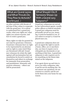#### <span id="page-37-0"></span>What are Grand Juries and What Threats Do They Pose to Activists? (continued...)

on other activists with threats of jail time if they refuse to cooperate with the grand jury. It is critical to understand how a grand jury works; what your rights are; what rights you cannot exercise; and how to resist a grand jury.

Many rights we take for granted do not exist for grand jury witnesses. Grand jury witnesses have no right to be represented by an attorney and no right to a jury trial if they are threatened with jail. Grand jury witnesses do retain the right against self-incrimination but can nonetheless be forced to snitch on themselves and others in exchange for immunity from prosecution and punishment. Immunity only protects witnesses – others can still be prosecuted.

#### What Should I Do If Someone Shows Up With a Grand Jury Subpoena?

Grand jury subpoenas are served by law enforcement agents, usually police officers or federal marshals. A grand jury subpoena must be personally served on you, meaning, it must be handed to you. If you refuse to accept it, it must be placed near you.

A grand jury subpoena does not give an agent the right to search a home, office, car or anywhere else, nor does it require you to relinquish any documents or say anything at that time. A grand jury subpoena is only requires you to do something on the future date stated on the subpoena.

If an agent shows up and tries to serve you with a subpoena, take it and do not do anything else. Do not answer any questions; do not consent to a search; and do not invite them into your home for any reason.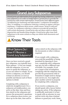### **Grand Jury Subpoenas**

<span id="page-38-0"></span>*Grand juries get information from people by issuing subpoenas. A grand jury subpoena is an order to testify before a grand jury or provide the grand jury with certain information. Grand juries issue different types*  of subpoenas for testimony and information. A subpoena ad testifican*dum, or testifying, is a subpoena ordering a witness to appear and give testimony. A subpoena duces tecum, which means "bring it with you" in Latin, is a subpoena ordering a witness to provide the grand jury with certain documents. Grand juries also use these orders to obtain fi ngerprints and handwriting samples. Grand juries often issue both subpoenas to the same witness so they can obtain both documents and testimony.*

### **A. Know Their Tools**

### What Options Do I Have If I Receive a Grand Jury Subpoena?

Once you have received a grand jury subpoena, you typically have three options: 1) You can comply with the subpoena; 2) you can move to quash the subpoena; or 3) you can refuse to comply. If you receive a subpoena, you should contact an attorney as soon as possible and discuss each of these options in detail.

Complying with a subpoena is relatively straightforward. For a subpoena ad testificandum, you arrive at the date, time and location stated on the subpoena and answer the prosecutor's questions. For a *subpoena duces tecum*, you show up on the date, time and location stated on the subpoena with the documents or other evidence required.

If you comply with a subpoena, you avoid the possibility of being punished for ignoring it; however, complying with a subpoena may get you into a different type of trouble. For example, if you are a target of the investigation, complying with the subpoena may provide the government with information it might need to charge and convict you. You might also place another activist in jeopardy by complying with a subpoena.

If you receive a subpoena, you should speak with a lawyer before taking any action. If the subpoena is politically motivated, it is best to speak with an attorney in your activist circle who does criminal defense or grand jury work. Some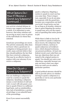### <span id="page-39-0"></span>What Options Do I Have If I Receive a Grand Jury Subpoena? (continued...)

non-activist criminal defense attorneys may suggest you become a snitch. It is important to note, however, that many snitches end up serving as many years in prison as the individuals on whom they snitched.

Grand jury proceedings are secret. The activist community often does not know when a grand jury investigation is being pursued. As a result, many activists believe that they should publicize the fact that they have received a subpoena. This may be an effective tactic to explore with your attorney if you receive a subpoena.

### How Do I Quash a Grand Jury Subpoena?

You can challenge a subpoena in court by a motion to quash the subpoena. Quashing a subpoena means a court declares it null and void. A court will only grant a motion to quash if there is a sufficient legal basis, such as misidentification; lack of jurisdiction; a protected privilege; or an unlawful basis of the proceedings.

quash a subpoena, litigating a motion to quash in court can buy you some time. Time is important, especially if you do not plan to cooperate with the grand jury, because non-cooperation can land you in jail. Grand juries can last for as long as 18 months; whatever time is spent litigating the motion to quash may save you the experience of spending that entire period in jail.

While there is little to lose by filing a motion to quash a *subpoena duces tecum*, the subpoenas that demand evidence, motions to quash *subpoenas ad testificandum*, which demand testimony, can present problems. At least one federal circuit court ruled that you lose any objections that was not raised in the original motion to quash. You should not waive your objections, especially because you may not know what your objections are until you are asked a particular question.

A good political attorney should be able to provide advice on whether moving to quash a subpoena is a good idea or not in your particular circumstances.

Even if you cannot successfully 40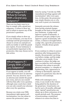### <span id="page-40-0"></span>What Happens If I Refuse to Comply With a Grand Jury Subpoena?

There are two basic ways to refuse to comply with a grand jury subpoena: 1) refuse to show up; and 2) refuse to answer any of the prosecutor's questions.

If you simply refuse to show up for your testimony, you may be in contempt and the government can choose to arrest you and jail you until you testify or until the grand jury expires. If your testimony is not particularly important to the prosecutor, they may choose not to take action.

#### What Happens If I Comply With a Grand Jury Subpoena?

If you appear to testify, you will not be allowed to have an attorney present. You can, however, have an attorney just outside the grand jury room, and you can consult with her/him after every question, although some courts have ruled you can only consult your attorney after every few questions.

Because you retain your Fifth Amendment right against selfincrimination, you can refuse to answer the prosecutor's questions by saying "I invoke my Fifth Amendment privilege against selfincrimination" after every question. At this point, the prosecutor may simply dismiss you or s/he may seek to grant you immunity.

Immunity prevents the witness from having criminal charges brought on the basis of the grand jury testimony. A judge must approve a grant of immunity. A prosecutor can get a judge to preapprove a grant of immunity; otherwise, a witness is brought before a judge who, upon the prosecutor's request, virtually always grants immunity.

If you continue to refuse to answer questions after being granted immunity, the prosecutor can bring you before a judge, and the judge will order you to testify. If you continue to refuse, the judge can have you jailed for civil contempt. Witnesses who refuse to provide physical exemplars, i.e. samples of handwriting, hair, appearance in a lineup or documents, upon the request of a grand jury may also be jailed for civil contempt.

While civil contempt is not a crime, it can result in the witness being jailed for the duration of the grand jury. Grand juries can last for up to 18 months, although some "special" grand juries can obtain up to three extensions of six month periods each. The purpose of incarcerating a recalcitrant witness is to coerce her/him to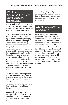#### <span id="page-41-0"></span>What Happens If I Comply With a Grand Jury Subpoena? (continued...)

testify. Judges will sometimes free witnesses before the expiration of the jury if it is clear that there is no chance the witness will testify.

The government can also use the charge of "criminal contempt" against uncooperative grand jury witnesses. Criminal contempt carries no maximum penalty – the sentence depends entirely on the judge's discretion. While civil contempt is meant to coerce a witness to testify, criminal contempt is meant to punish a witness for impeding the legal process. As with any other crime, criminal contempt requires notice of the charges, the right to receive assistance of counsel, and proof beyond a reasonable doubt. Charges of criminal contempt are extremely rare.

If you are jailed, you can periodically file a motion stating that:  $1)$ jail will not coerce you into testifying; and 2) your confinement is merely punitive and therefore unconstitutional. If you win one of these motions, you will be released.

Some activists create files to prepare for being called before a grand jury. A file that memorializes your stalwart belief against

cooperating with grand jury proceedings can be used as evidence that civil contempt will not work to coerce you and thereby help you win release.

### What Happens After a Grand Jury?

What takes place in grand jury proceedings is secret. The government relies on this secrecy to create fear and distrust in activist communities. Some activists have successfully dispelled that fear and distrust in activist comities by publishing the questions asked of them by the prosecutor and the answers they provided. If you are considering taking action in this way, you must talk with an attorney to ensure that you are not creating more problems than you are solving.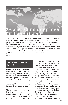# <span id="page-42-0"></span>Special Considerations for Noncitizens

Noncitizens are individuals who do not have U.S. citizenship, including tourists, students and others who are in the U.S. on visas or visa waiver programs; lawful permanent residents; refugees; and those without legal immigration status. Noncitizens in the U.S. share most of the same constitutional rights as citizens. There are some exceptions to that rule, and noncitizens engaging in political activism should be aware of several special considerations. Noncitizens should not, however, entirely avoid political activism based on an unreasonable fear of government repression.

#### Speech and Political **Affiliations**

In most cases, the government treats speech by noncitizens in the same way it treats speech by citizens. Noncitizens cannot be criminally punished for speech that would be protected if uttered by a citizen. Similarly, noncitizens cannot be sued for speech that would be protected if said by a citizen.

The government does, however, have broad powers to withhold immigration benefits (such as discretionary relief or naturalization) and may potentially even initiate

removal proceedings based on a noncitizen's speech. It is unclear whether the government can remove a noncitizen or withhold discretionary benefits for speech or political association alone. Fifty years ago, some courts found the government could, but First Amendment law has changed dramatically since then, and courts are now split on whether that rule is still good law. Practically speaking, it is extremely rare for the government to remove someone based purely on speech or association. The government, however, is allowed to selectively enforce immigration laws. For instance, the government can remove nonciti-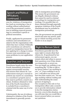### <span id="page-43-0"></span>Speech and Political **Affiliations** (continued...)

zens for violations of immigration law (such as overstaying a visa or working without authorization) even if the government's motivation in initiating removal proceedings is a noncitizen's speech or political association.

Finally, applicants for permanent residence and naturalization are asked to list the organizations with which they have worked. Politically active noncitizens are advised to consult an immigration lawyer before applying for a change in status because some associations may cause problems in your application process.

### Searches and Seizures

Noncitizens largely enjoy the same Fourth Amendment protections against unreasonable searches and seizures that citizens do. Law enforcement must get a warrant to perform any search on a noncitizen or a noncitizen's property just as they must to perform a search on a citizen. Evidence obtained in violation of the Fourth Amendment is excluded from a noncitizen's criminal trial the same way it is for citizens.

Unfortunately, the use of evidence obtained in violation of the Fourth Amendment is generally permis-44

sible in immigration proceedings. This means the government can use illegally obtained evidence that cannot be used in criminal proceedings for immigration proceedings. It is possible that evidence obtained through especially egregious violations of the Fourth Amendment may be excluded in immigration proceedings.

Also, the government can generally search and seize any person, package or vehicle traveling across the border or at an airport.

### Right to Remain Silent

Noncitizens generally have the same right to remain silent that citizens do. If questioned by law enforcement agents, you can remain silent and refuse to answer their questions even if they detain you temporarily or arrest you. You can simply say nothing or say something like "I'd like to talk to my lawyer before I say anything to you," or "I have nothing to say to you. I will talk to my lawyer and have her/him contact you." Do not sign anything without reading and fully understanding the consequences of signing it. One exception to this rule is if an immigration officer asks a noncitizen to provide information related to her/his immigration status; however, even in this situation, you can still state that you would like a lawyer present before you answer any questions.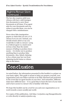### <span id="page-44-0"></span>Right to Remain Silent (continued...)

The law also requires adult noncitizens with have valid immigration documents to carry these documents at all times. If an agent asks for your documents and you refuse to provide them, you can be charged with a misdemeanor.

Never show fake immigration papers or claim that you are a U.S. citizen if you are not. Instead, you should remain silent or say you would like to talk to a lawyer. Lying to a federal agent is a much more serious crime than the misdemeanor of failing to produce documents – it is better not to produce anything than to produce false documents. Also, falsely claiming to be a citizen may bar you from obtaining lawful status or citizenship in the future.



As noted before, the information presented in this booklet is a primer on your basic rights. This guide is meant to help you prepare yourself, your organization and your fellow activists to be fully informed and protected in the event that an agent knocks at your door. And remember, different states have different laws – it is a good idea to learn the laws of your state and to have access to a lawyer who is familiar with them.

We hope this booklet can be a tool for you and your organization as we work towards a more socially just world.

For copies of this publication, visit http://ccrjustice.org/ifanagentknocks or write directly to iaak@ccrjustice.org.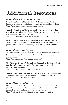### <span id="page-45-0"></span>Additional Resources

#### About General Security Practices

**Security Culture: a Handbook for Activists**: An excellent zine by Canadian activists on why to build a security culture and how to do it. *http://security.resist.ca/personal/culture.shtml*

**Security Survival Skills, by the Collective Opposed to Police Brutality**: An explanation of how to build security culture in your activist community from a group in Canada.

*http://www.why-war.com/files/Securite-eng-letter.pdf*

**War at Home**, by Brian Glick: An extensive book on the history of COINTELPRO and excellent advice on how to avoid the same pitfalls and protect yourself and your community. Published by South End Press.

### About Government Agents

**The Attorney General's Guidelines on FBI Undercover Operations**: the Federal Government's rules on what undercover agents can and cannot do. *http://www.usdoj.gov/olp/fbiundercover.pdf*

**The Attorney General's Guidelines Regarding the Use of Confidential Informants**: The Federal Government's rules on what informants can and cannot do. *http://www.usdoj.gov/olp/dojguidelines.pdf* 

**Security Practices and Security Culture**: basic tips on dealing with covert operations and great anecdotes from the COINTELPRO era. *http://aia.mahost.org/sec\_cointelpro.htm* 

#### About Telephone Security

**Mobile Surveillance Primer**: a thorough online resource on cell phone technologies, how they can be accessed, and how to protect the information stored on them and your conversations. *http://mobileactive.org/wiki/Mobile\_Surveillance-A\_Primer*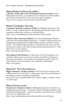#### **A Review of the FBI's Use of National Security Letters**, by the Department of Justice: an in-depth review of the law on National Secu-About National Security Letters

rity Letters and how they've been used since their inception. *http://www.usdoj.gov/oig/special/s0703b/final.pdf* 

### About Computer Security

**Computer Security Trainer's Guide**, by Midnight Special Law Collective: A really excellent guide to developing good security habits with computers rather than software or technical tricks. *http://www.midnightspecial.net/materials/trainers.html*

**NGO in a Box: Security Edition**, by Tactical Technology Collective and Front Line Human Rights Defenders: A toolkit to help activists and independent media makers establish digital security and protect their privacy. The toolkit includes guides on encryption tools; virus, adware and spyware cleaner tools; data storage; password protection; etc. Available for free on the internet.

*http://security.ngoinabox.org*

**Surveillance Self Defense**, by Electronic Frontier Foundation: an excellent online resource on how to protect yourself from all types of electronic surveillance. For specifics on computer security, check out "Data Stored on Your Computer" and "Defensive Technology." *https://ssd.eff.org*

#### About Hi-Tech Surveillance

**Bigger Monster, Weaker Chains**: The Growth of an American Surveillance Society, by the ACLU: a white paper about the recent history of surveillance cameras and other technologies.

*http://www.aclu.org/FilesPDFs/aclu\_report\_bigger\_monster\_weaker\_chains.pdf* 

#### About Grand Juries

**Grand Jury Trainers Guide**, by Midnight Special Law Collective: an explanation of grand juries – from first contact with federal agents to the Grand Jury hearing itself – and how to protect yourself and your community if you are called before one.

*http://www.midnightspecial.net/materials/trainers.html#gj*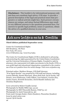<span id="page-47-0"></span>**Disclaimer:** This booklet is for informational purposes only and does not constitute legal advice. CCR aims to provide a general description of the legal and practical issues that progressive or radical activists might face. Each person's circumstances are unique, and minor factual differences may result in very different answers to the questions presented here. For answers to specific legal problems, issues or questions, obtain the advice of a qualified attorney in your area.

### Acknowledgements & Credits

#### **Third Edition published September 2009**

Center for Constitutional Rights 666 Broadway, 7th Floor New York, NY 10012 www.CCRJustice.org / (212) 614-6464

The Center for Constitutional Rights (CCR) is dedicated to advancing and protecting the rights guaranteed by the United States Constitution and the Universal Declaration of Human Rights. Founded in 1966 by attorneys who represented civil rights movements in the South, CCR is a non-profit legal and educational organization committed to the creative use of law as a positive force for social change. Visit www.ccrjustice.org.

Principal author, Matthew Strugar, CCR Staff Attorney. "If an Agent Knocks" was prepared by CCR staff and interns, including Lauren Melodia, Rachel Meeropol, Alison Roh Park, Qa'id Jacobs, Jeff Deutch, Arwa Fidahusein, Cathe Giffuni, Toni Holness, Carolyn Hsu, Jessica Juarez, Kenneth Kreuscher, David Mandel-Anthony and Christina Stephenson.

Cover artwork by Robert Trujillo (2009) Photography by Maddy Miller (pp. 5,9,15) Photography by SSGT Reynoldo Ramon, USAF (p. 21) Photography by Jarek Tuszynski (p. 36) Fonts used: Georgia (body), Distro (headers), Fluoxetine (headers) Icons by pixel-mixer.com Layout: Qa'id Jacobs 48